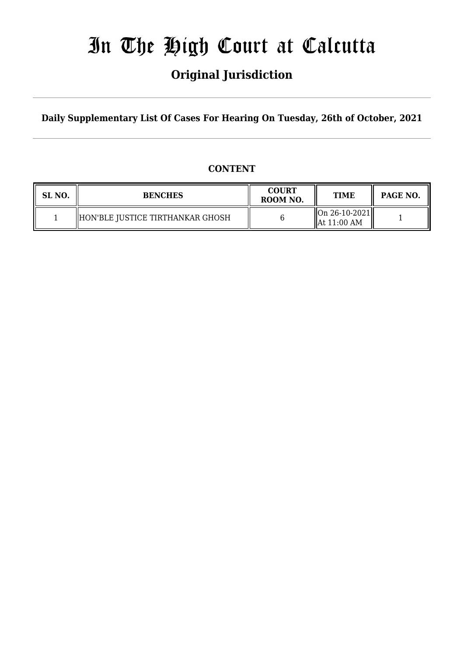# In The High Court at Calcutta

## **Original Jurisdiction**

**Daily Supplementary List Of Cases For Hearing On Tuesday, 26th of October, 2021**

### **CONTENT**

| SL NO. | <b>BENCHES</b>                   | <b>COURT</b><br>ROOM NO. | <b>TIME</b>                                              | <b>PAGE NO.</b> |
|--------|----------------------------------|--------------------------|----------------------------------------------------------|-----------------|
|        | HON'BLE JUSTICE TIRTHANKAR GHOSH |                          | $\vert$ On 26-10-2021 $\vert$<br>$\parallel$ At 11:00 AM |                 |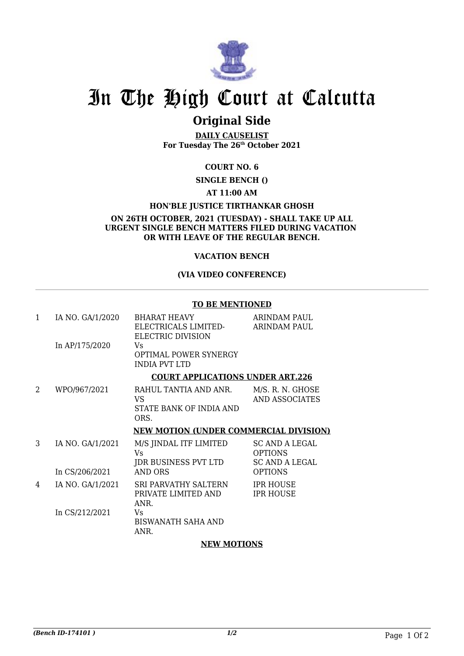

# In The High Court at Calcutta

## **Original Side**

**DAILY CAUSELIST For Tuesday The 26th October 2021**

### **COURT NO. 6**

**SINGLE BENCH ()**

#### **AT 11:00 AM**

#### **HON'BLE JUSTICE TIRTHANKAR GHOSH**

**ON 26TH OCTOBER, 2021 (TUESDAY) - SHALL TAKE UP ALL URGENT SINGLE BENCH MATTERS FILED DURING VACATION OR WITH LEAVE OF THE REGULAR BENCH.**

#### **VACATION BENCH**

#### **(VIA VIDEO CONFERENCE)**

#### **TO BE MENTIONED**

| $\mathbf{1}$ | IA NO. GA/1/2020 | <b>BHARAT HEAVY</b><br>ELECTRICALS LIMITED-<br>ELECTRIC DIVISION | ARINDAM PAUL<br><b>ARINDAM PAUL</b>                              |
|--------------|------------------|------------------------------------------------------------------|------------------------------------------------------------------|
|              | In AP/175/2020   | Vs<br><b>OPTIMAL POWER SYNERGY</b><br><b>INDIA PVT LTD</b>       |                                                                  |
|              |                  | <b>COURT APPLICATIONS UNDER ART.226</b>                          |                                                                  |
| 2            | WPO/967/2021     | RAHUL TANTIA AND ANR.<br>VS<br>STATE BANK OF INDIA AND<br>ORS.   | M/S. R. N. GHOSE<br><b>AND ASSOCIATES</b>                        |
|              |                  |                                                                  |                                                                  |
|              |                  | <b>NEW MOTION (UNDER COMMERCIAL DIVISION)</b>                    |                                                                  |
| 3            | IA NO. GA/1/2021 | M/S JINDAL ITF LIMITED<br>Vs                                     | <b>SC AND A LEGAL</b><br><b>OPTIONS</b><br><b>SC AND A LEGAL</b> |
|              | In CS/206/2021   | JDR BUSINESS PVT LTD<br><b>AND ORS</b>                           | <b>OPTIONS</b>                                                   |
| 4            | IA NO. GA/1/2021 | SRI PARVATHY SALTERN<br>PRIVATE LIMITED AND<br>ANR.              | <b>IPR HOUSE</b><br><b>IPR HOUSE</b>                             |

#### **NEW MOTIONS**